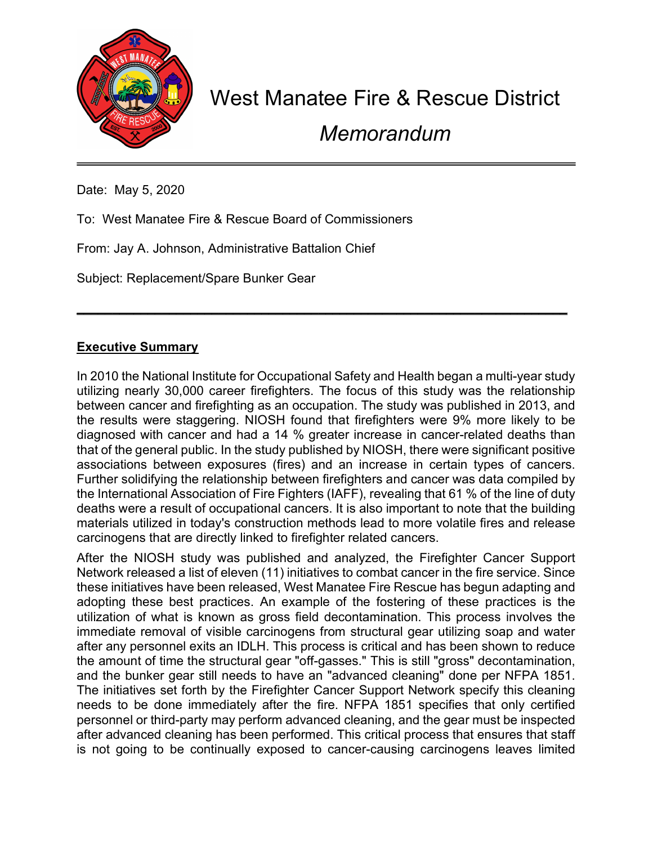

## West Manatee Fire & Rescue District

Memorandum

Date: May 5, 2020

To: West Manatee Fire & Rescue Board of Commissioners

From: Jay A. Johnson, Administrative Battalion Chief

Subject: Replacement/Spare Bunker Gear

## Executive Summary

In 2010 the National Institute for Occupational Safety and Health began a multi-year study utilizing nearly 30,000 career firefighters. The focus of this study was the relationship between cancer and firefighting as an occupation. The study was published in 2013, and the results were staggering. NIOSH found that firefighters were 9% more likely to be diagnosed with cancer and had a 14 % greater increase in cancer-related deaths than that of the general public. In the study published by NIOSH, there were significant positive associations between exposures (fires) and an increase in certain types of cancers. Further solidifying the relationship between firefighters and cancer was data compiled by the International Association of Fire Fighters (IAFF), revealing that 61 % of the line of duty deaths were a result of occupational cancers. It is also important to note that the building materials utilized in today's construction methods lead to more volatile fires and release carcinogens that are directly linked to firefighter related cancers.

\_\_\_\_\_\_\_\_\_\_\_\_\_\_\_\_\_\_\_\_\_\_\_\_\_\_\_\_\_\_\_\_\_\_\_\_\_\_\_\_\_\_\_\_\_\_\_\_\_\_\_\_\_\_\_\_\_\_\_\_\_\_\_\_\_\_\_\_\_

After the NIOSH study was published and analyzed, the Firefighter Cancer Support Network released a list of eleven (11) initiatives to combat cancer in the fire service. Since these initiatives have been released, West Manatee Fire Rescue has begun adapting and adopting these best practices. An example of the fostering of these practices is the utilization of what is known as gross field decontamination. This process involves the immediate removal of visible carcinogens from structural gear utilizing soap and water after any personnel exits an IDLH. This process is critical and has been shown to reduce the amount of time the structural gear "off-gasses." This is still "gross" decontamination, and the bunker gear still needs to have an "advanced cleaning" done per NFPA 1851. The initiatives set forth by the Firefighter Cancer Support Network specify this cleaning needs to be done immediately after the fire. NFPA 1851 specifies that only certified personnel or third-party may perform advanced cleaning, and the gear must be inspected after advanced cleaning has been performed. This critical process that ensures that staff is not going to be continually exposed to cancer-causing carcinogens leaves limited